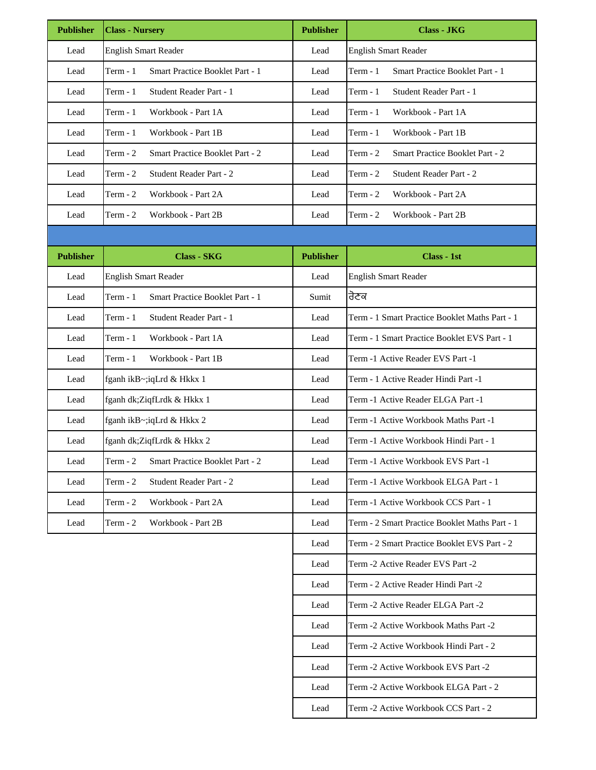| <b>Publisher</b> | <b>Class - Nursery</b>                             | <b>Publisher</b> | <b>Class - JKG</b>                                  |  |
|------------------|----------------------------------------------------|------------------|-----------------------------------------------------|--|
| Lead             | <b>English Smart Reader</b>                        | Lead             | <b>English Smart Reader</b>                         |  |
| Lead             | Smart Practice Booklet Part - 1<br>Term $-1$       | Lead             | Term $-1$<br>Smart Practice Booklet Part - 1        |  |
| Lead             | Student Reader Part - 1<br>$Term - 1$              | Lead             | $Term - 1$<br>Student Reader Part - 1               |  |
| Lead             | Workbook - Part 1A<br>$Term - 1$                   | Lead             | Term - 1<br>Workbook - Part 1A                      |  |
| Lead             | Term - 1<br>Workbook - Part 1B                     | Lead             | $Term - 1$<br>Workbook - Part 1B                    |  |
| Lead             | Term - 2<br><b>Smart Practice Booklet Part - 2</b> | Lead             | Term $-2$<br><b>Smart Practice Booklet Part - 2</b> |  |
| Lead             | Term $-2$<br>Student Reader Part - 2               | Lead             | Term $-2$<br>Student Reader Part - 2                |  |
| Lead             | Term - 2<br>Workbook - Part 2A                     | Lead             | Term $-2$<br>Workbook - Part 2A                     |  |
| Lead             | Term - $2$<br>Workbook - Part 2B                   | Lead             | Workbook - Part 2B<br>Term $-2$                     |  |
|                  |                                                    |                  |                                                     |  |
| <b>Publisher</b> | <b>Class - SKG</b>                                 | <b>Publisher</b> | Class - 1st                                         |  |
| Lead             | <b>English Smart Reader</b>                        | Lead             | <b>English Smart Reader</b>                         |  |
| Lead             | Term - 1<br>Smart Practice Booklet Part - 1        | Sumit            | ਰੋਣਕ                                                |  |
| Lead             | Student Reader Part - 1<br>Term - 1                | Lead             | Term - 1 Smart Practice Booklet Maths Part - 1      |  |
| Lead             | Workbook - Part 1A<br>$Term - 1$                   | Lead             | Term - 1 Smart Practice Booklet EVS Part - 1        |  |
| Lead             | Term - 1<br>Workbook - Part 1B                     | Lead             | Term -1 Active Reader EVS Part -1                   |  |
| Lead             | fganh ikB~;iqLrd & Hkkx 1                          | Lead             | Term - 1 Active Reader Hindi Part -1                |  |
| Lead             | fganh dk;ZiqfLrdk & Hkkx 1                         | Lead             | Term -1 Active Reader ELGA Part -1                  |  |
| Lead             | fganh ikB~;iqLrd & Hkkx 2                          | Lead             | Term -1 Active Workbook Maths Part -1               |  |
| Lead             | fganh dk; ZiqfLrdk & Hkkx 2                        | Lead             | Term -1 Active Workbook Hindi Part - 1              |  |
| Lead             | Smart Practice Booklet Part - 2<br>Term - 2        | Lead             | Term -1 Active Workbook EVS Part -1                 |  |
| Lead             | Student Reader Part - 2<br>$Term - 2$              | Lead             | Term -1 Active Workbook ELGA Part - 1               |  |
| Lead             | Workbook - Part 2A<br>$Term - 2$                   | Lead             | Term -1 Active Workbook CCS Part - 1                |  |
| Lead             | Workbook - Part 2B<br>$Term - 2$                   | Lead             | Term - 2 Smart Practice Booklet Maths Part - 1      |  |
|                  |                                                    | Lead             | Term - 2 Smart Practice Booklet EVS Part - 2        |  |
|                  |                                                    | Lead             | Term -2 Active Reader EVS Part -2                   |  |
|                  |                                                    | Lead             | Term - 2 Active Reader Hindi Part -2                |  |
|                  |                                                    | Lead             | Term -2 Active Reader ELGA Part -2                  |  |
|                  |                                                    | Lead             | Term -2 Active Workbook Maths Part -2               |  |
|                  |                                                    | Lead             | Term -2 Active Workbook Hindi Part - 2              |  |
|                  |                                                    | Lead             | Term -2 Active Workbook EVS Part -2                 |  |
|                  |                                                    | Lead             | Term -2 Active Workbook ELGA Part - 2               |  |
|                  |                                                    | Lead             | Term -2 Active Workbook CCS Part - 2                |  |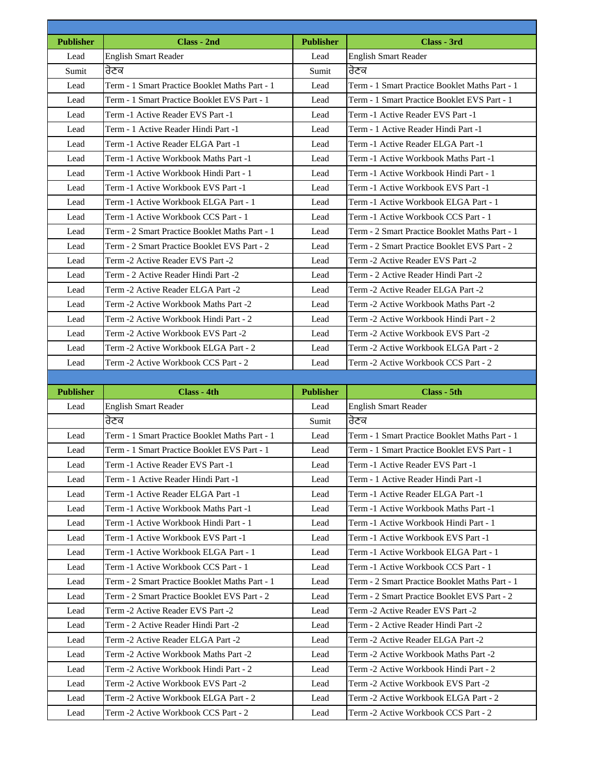| <b>Publisher</b> | Class - 2nd                                                                  | <b>Publisher</b> | Class - 3rd                                                                  |
|------------------|------------------------------------------------------------------------------|------------------|------------------------------------------------------------------------------|
| Lead             | <b>English Smart Reader</b>                                                  | Lead             | <b>English Smart Reader</b>                                                  |
| Sumit            | ਰੋਣਕ                                                                         | Sumit            | ਰੋਣਕ                                                                         |
| Lead             | Term - 1 Smart Practice Booklet Maths Part - 1                               | Lead             | Term - 1 Smart Practice Booklet Maths Part - 1                               |
| Lead             | Term - 1 Smart Practice Booklet EVS Part - 1                                 | Lead             | Term - 1 Smart Practice Booklet EVS Part - 1                                 |
| Lead             | Term -1 Active Reader EVS Part -1                                            | Lead             | Term -1 Active Reader EVS Part -1                                            |
| Lead             | Term - 1 Active Reader Hindi Part -1                                         | Lead             | Term - 1 Active Reader Hindi Part -1                                         |
| Lead             | Term -1 Active Reader ELGA Part -1                                           | Lead             | Term -1 Active Reader ELGA Part -1                                           |
| Lead             | Term -1 Active Workbook Maths Part -1                                        | Lead             | Term -1 Active Workbook Maths Part -1                                        |
| Lead             | Term -1 Active Workbook Hindi Part - 1                                       | Lead             | Term -1 Active Workbook Hindi Part - 1                                       |
| Lead             | Term -1 Active Workbook EVS Part -1                                          | Lead             | Term -1 Active Workbook EVS Part -1                                          |
| Lead             | Term -1 Active Workbook ELGA Part - 1                                        | Lead             | Term -1 Active Workbook ELGA Part - 1                                        |
| Lead             | Term -1 Active Workbook CCS Part - 1                                         | Lead             | Term -1 Active Workbook CCS Part - 1                                         |
| Lead             | Term - 2 Smart Practice Booklet Maths Part - 1                               | Lead             | Term - 2 Smart Practice Booklet Maths Part - 1                               |
| Lead             | Term - 2 Smart Practice Booklet EVS Part - 2                                 | Lead             | Term - 2 Smart Practice Booklet EVS Part - 2                                 |
| Lead             | Term -2 Active Reader EVS Part -2                                            | Lead             | Term -2 Active Reader EVS Part -2                                            |
| Lead             | Term - 2 Active Reader Hindi Part -2                                         | Lead             | Term - 2 Active Reader Hindi Part -2                                         |
| Lead             | Term -2 Active Reader ELGA Part -2                                           | Lead             | Term -2 Active Reader ELGA Part -2                                           |
| Lead             | Term -2 Active Workbook Maths Part -2                                        | Lead             | Term -2 Active Workbook Maths Part -2                                        |
| Lead             | Term -2 Active Workbook Hindi Part - 2                                       | Lead             | Term -2 Active Workbook Hindi Part - 2                                       |
| Lead             | Term -2 Active Workbook EVS Part -2                                          | Lead             | Term -2 Active Workbook EVS Part -2                                          |
| Lead             | Term -2 Active Workbook ELGA Part - 2                                        | Lead             | Term -2 Active Workbook ELGA Part - 2                                        |
|                  |                                                                              |                  |                                                                              |
| Lead             | Term -2 Active Workbook CCS Part - 2                                         | Lead             | Term -2 Active Workbook CCS Part - 2                                         |
|                  |                                                                              |                  |                                                                              |
| <b>Publisher</b> | Class - 4th                                                                  | <b>Publisher</b> | Class - 5th                                                                  |
| Lead             | <b>English Smart Reader</b>                                                  | Lead             | English Smart Reader                                                         |
|                  | ਰੋਣਕ                                                                         | Sumit            | ਰੋਣਕ                                                                         |
| Lead             | Term - 1 Smart Practice Booklet Maths Part - 1                               | Lead             | Term - 1 Smart Practice Booklet Maths Part - 1                               |
| Lead             | Term - 1 Smart Practice Booklet EVS Part - 1                                 | Lead             | Term - 1 Smart Practice Booklet EVS Part - 1                                 |
| Lead             | Term -1 Active Reader EVS Part -1                                            | Lead             | Term -1 Active Reader EVS Part -1                                            |
| Lead             | Term - 1 Active Reader Hindi Part -1                                         | Lead             | Term - 1 Active Reader Hindi Part -1                                         |
| Lead             | Term -1 Active Reader ELGA Part -1                                           | Lead             | Term -1 Active Reader ELGA Part -1                                           |
| Lead             | Term -1 Active Workbook Maths Part -1                                        | Lead             | Term -1 Active Workbook Maths Part -1                                        |
| Lead             | Term -1 Active Workbook Hindi Part - 1                                       | Lead             | Term -1 Active Workbook Hindi Part - 1                                       |
| Lead             | Term -1 Active Workbook EVS Part -1                                          | Lead             | Term -1 Active Workbook EVS Part -1                                          |
| Lead             | Term -1 Active Workbook ELGA Part - 1                                        | Lead             | Term -1 Active Workbook ELGA Part - 1                                        |
| Lead             | Term -1 Active Workbook CCS Part - 1                                         | Lead             | Term -1 Active Workbook CCS Part - 1                                         |
| Lead             | Term - 2 Smart Practice Booklet Maths Part - 1                               | Lead             | Term - 2 Smart Practice Booklet Maths Part - 1                               |
| Lead             | Term - 2 Smart Practice Booklet EVS Part - 2                                 | Lead             | Term - 2 Smart Practice Booklet EVS Part - 2                                 |
| Lead             |                                                                              | Lead             |                                                                              |
|                  | Term -2 Active Reader EVS Part -2                                            |                  | Term -2 Active Reader EVS Part -2                                            |
| Lead<br>Lead     | Term - 2 Active Reader Hindi Part -2<br>Term -2 Active Reader ELGA Part -2   | Lead<br>Lead     | Term - 2 Active Reader Hindi Part -2                                         |
|                  |                                                                              |                  | Term -2 Active Reader ELGA Part -2                                           |
| Lead             | Term -2 Active Workbook Maths Part -2                                        | Lead             | Term -2 Active Workbook Maths Part -2                                        |
| Lead             | Term -2 Active Workbook Hindi Part - 2                                       | Lead             | Term -2 Active Workbook Hindi Part - 2                                       |
| Lead<br>Lead     | Term -2 Active Workbook EVS Part -2<br>Term -2 Active Workbook ELGA Part - 2 | Lead<br>Lead     | Term -2 Active Workbook EVS Part -2<br>Term -2 Active Workbook ELGA Part - 2 |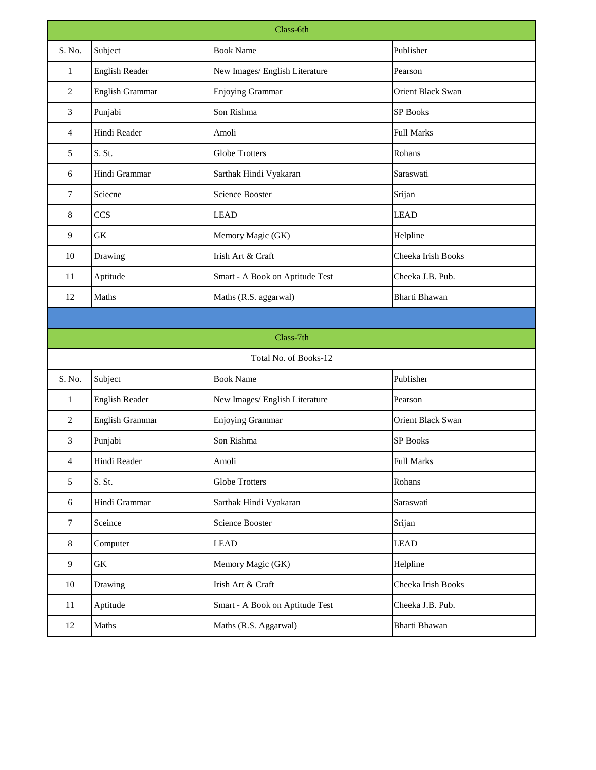| Class-6th      |                        |                                 |                          |  |  |  |  |
|----------------|------------------------|---------------------------------|--------------------------|--|--|--|--|
| S. No.         | Subject                | <b>Book Name</b>                | Publisher                |  |  |  |  |
| $\mathbf{1}$   | <b>English Reader</b>  | New Images/ English Literature  | Pearson                  |  |  |  |  |
| $\overline{2}$ | <b>English Grammar</b> | <b>Enjoying Grammar</b>         | <b>Orient Black Swan</b> |  |  |  |  |
| 3              | Punjabi                | Son Rishma                      | <b>SP Books</b>          |  |  |  |  |
| $\overline{4}$ | Hindi Reader           | Amoli                           | <b>Full Marks</b>        |  |  |  |  |
| 5              | S. St.                 | <b>Globe Trotters</b>           | Rohans                   |  |  |  |  |
| 6              | Hindi Grammar          | Sarthak Hindi Vyakaran          | Saraswati                |  |  |  |  |
| 7              | Sciecne                | <b>Science Booster</b>          | Srijan                   |  |  |  |  |
| 8              | <b>CCS</b>             | <b>LEAD</b>                     | <b>LEAD</b>              |  |  |  |  |
| 9              | <b>GK</b>              | Memory Magic (GK)               | Helpline                 |  |  |  |  |
| 10             | Drawing                | Irish Art & Craft               | Cheeka Irish Books       |  |  |  |  |
| 11             | Aptitude               | Smart - A Book on Aptitude Test | Cheeka J.B. Pub.         |  |  |  |  |
| 12             | Maths                  | Maths (R.S. aggarwal)           | <b>Bharti Bhawan</b>     |  |  |  |  |
|                |                        |                                 |                          |  |  |  |  |
|                | Class-7th              |                                 |                          |  |  |  |  |
|                |                        | Total No. of Books-12           |                          |  |  |  |  |
| S. No.         | Subject                | <b>Book Name</b>                | Publisher                |  |  |  |  |
| $\mathbf{1}$   | English Reader         | New Images/ English Literature  | Pearson                  |  |  |  |  |
| $\overline{2}$ | English Grammar        | <b>Enjoying Grammar</b>         | <b>Orient Black Swan</b> |  |  |  |  |
| $\overline{3}$ | Punjabi                | Son Rishma                      | <b>SP Books</b>          |  |  |  |  |
| $\overline{4}$ | Hindi Reader           | Amoli                           | <b>Full Marks</b>        |  |  |  |  |
| 5              | S. St.                 | <b>Globe Trotters</b>           | Rohans                   |  |  |  |  |
| 6              | Hindi Grammar          | Sarthak Hindi Vyakaran          | Saraswati                |  |  |  |  |
| $\tau$         | Sceince                | <b>Science Booster</b>          | Srijan                   |  |  |  |  |
| $8\,$          | Computer               | <b>LEAD</b>                     | <b>LEAD</b>              |  |  |  |  |
| 9              | <b>GK</b>              | Memory Magic (GK)               | Helpline                 |  |  |  |  |
| 10             | Drawing                | Irish Art & Craft               | Cheeka Irish Books       |  |  |  |  |
| 11             | Aptitude               | Smart - A Book on Aptitude Test | Cheeka J.B. Pub.         |  |  |  |  |
| 12             | Maths                  | Maths (R.S. Aggarwal)           | <b>Bharti Bhawan</b>     |  |  |  |  |